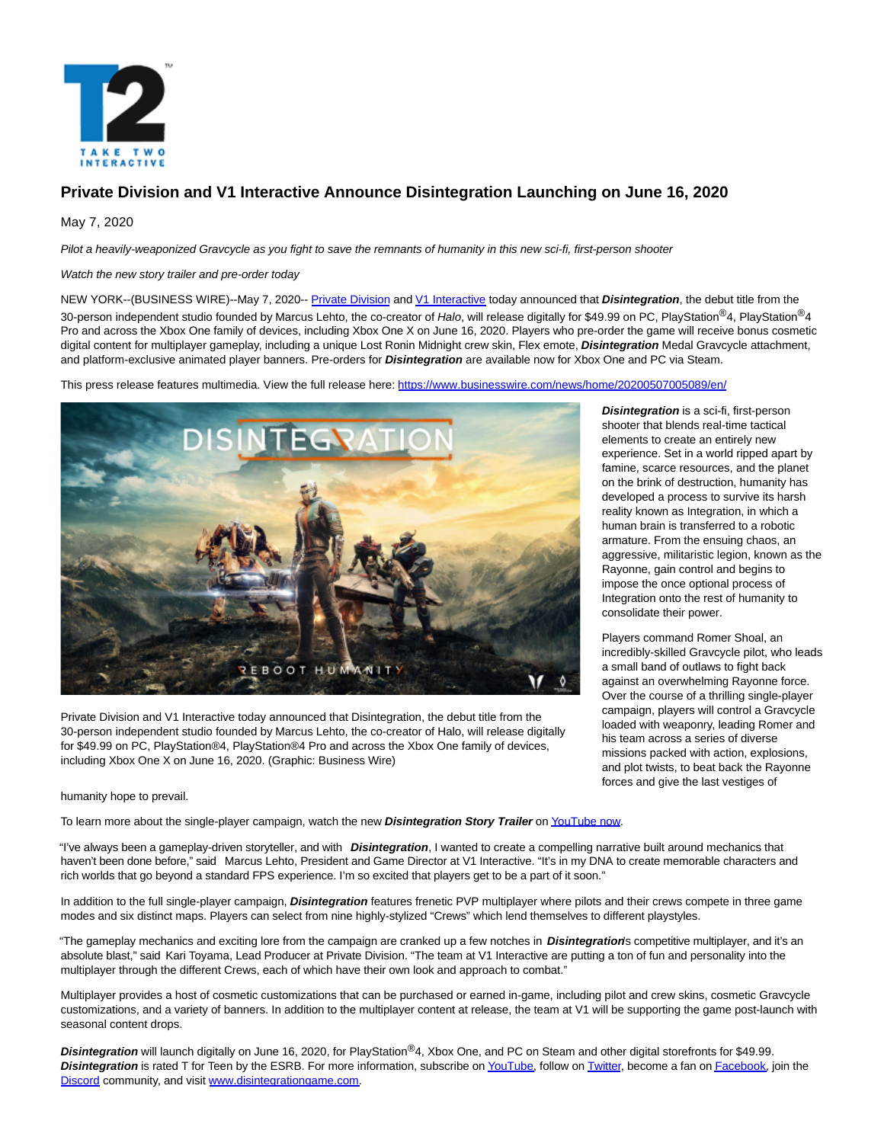

# **Private Division and V1 Interactive Announce Disintegration Launching on June 16, 2020**

May 7, 2020

Pilot a heavily-weaponized Gravcycle as you fight to save the remnants of humanity in this new sci-fi, first-person shooter

Watch the new story trailer and pre-order today

NEW YORK--(BUSINESS WIRE)--May 7, 2020-- [Private Division a](https://cts.businesswire.com/ct/CT?id=smartlink&url=https%3A%2F%2Fwww.privatedivision.com%2F&esheet=52215996&newsitemid=20200507005089&lan=en-US&anchor=Private+Division&index=1&md5=cc07857f1b59cb1fe866ab6ae924a6ee)nd [V1 Interactive t](https://cts.businesswire.com/ct/CT?id=smartlink&url=https%3A%2F%2Fv1interactive.com%2F&esheet=52215996&newsitemid=20200507005089&lan=en-US&anchor=V1+Interactive&index=2&md5=278af500d60b9ec2da5795ce2e4898a3)oday announced that **Disintegration**, the debut title from the 30-person independent studio founded by Marcus Lehto, the co-creator of Halo, will release digitally for \$49.99 on PC, PlayStation<sup>®</sup>4, PlayStation<sup>®</sup>4, Pro and across the Xbox One family of devices, including Xbox One X on June 16, 2020. Players who pre-order the game will receive bonus cosmetic digital content for multiplayer gameplay, including a unique Lost Ronin Midnight crew skin, Flex emote, **Disintegration** Medal Gravcycle attachment, and platform-exclusive animated player banners. Pre-orders for **Disintegration** are available now for Xbox One and PC via Steam.

This press release features multimedia. View the full release here:<https://www.businesswire.com/news/home/20200507005089/en/>



Private Division and V1 Interactive today announced that Disintegration, the debut title from the 30-person independent studio founded by Marcus Lehto, the co-creator of Halo, will release digitally for \$49.99 on PC, PlayStation®4, PlayStation®4 Pro and across the Xbox One family of devices, including Xbox One X on June 16, 2020. (Graphic: Business Wire)

**Disintegration** is a sci-fi, first-person shooter that blends real-time tactical elements to create an entirely new experience. Set in a world ripped apart by famine, scarce resources, and the planet on the brink of destruction, humanity has developed a process to survive its harsh reality known as Integration, in which a human brain is transferred to a robotic armature. From the ensuing chaos, an aggressive, militaristic legion, known as the Rayonne, gain control and begins to impose the once optional process of Integration onto the rest of humanity to consolidate their power.

Players command Romer Shoal, an incredibly-skilled Gravcycle pilot, who leads a small band of outlaws to fight back against an overwhelming Rayonne force. Over the course of a thrilling single-player campaign, players will control a Gravcycle loaded with weaponry, leading Romer and his team across a series of diverse missions packed with action, explosions, and plot twists, to beat back the Rayonne forces and give the last vestiges of

humanity hope to prevail.

To learn more about the single-player campaign, watch the new **Disintegration Story Trailer** o[n YouTube now.](https://cts.businesswire.com/ct/CT?id=smartlink&url=https%3A%2F%2Fyoutu.be%2FXPG9AGHwdFA&esheet=52215996&newsitemid=20200507005089&lan=en-US&anchor=YouTube+now&index=3&md5=2c5623070244db6a9b11348f72dfd3bb)

"I've always been a gameplay-driven storyteller, and with **Disintegration**, I wanted to create a compelling narrative built around mechanics that haven't been done before," said Marcus Lehto, President and Game Director at V1 Interactive. "It's in my DNA to create memorable characters and rich worlds that go beyond a standard FPS experience. I'm so excited that players get to be a part of it soon."

In addition to the full single-player campaign, **Disintegration** features frenetic PVP multiplayer where pilots and their crews compete in three game modes and six distinct maps. Players can select from nine highly-stylized "Crews" which lend themselves to different playstyles.

"The gameplay mechanics and exciting lore from the campaign are cranked up a few notches in **Disintegration**'s competitive multiplayer, and it's an absolute blast," said Kari Toyama, Lead Producer at Private Division. "The team at V1 Interactive are putting a ton of fun and personality into the multiplayer through the different Crews, each of which have their own look and approach to combat."

Multiplayer provides a host of cosmetic customizations that can be purchased or earned in-game, including pilot and crew skins, cosmetic Gravcycle customizations, and a variety of banners. In addition to the multiplayer content at release, the team at V1 will be supporting the game post-launch with seasonal content drops.

**Disintegration** will launch digitally on June 16, 2020, for PlayStation®4, Xbox One, and PC on Steam and other digital storefronts for \$49.99. **Disintegration** is rated T for Teen by the ESRB. For more information, subscribe o[n YouTube,](https://cts.businesswire.com/ct/CT?id=smartlink&url=https%3A%2F%2Fwww.youtube.com%2Fchannel%2FUCL6AUK1piXrLe2tM_OA8PWQ%2F&esheet=52215996&newsitemid=20200507005089&lan=en-US&anchor=YouTube&index=4&md5=8171e6f5cbe0ed73dac4eb2a1a7f516e) follow o[n Twitter,](https://cts.businesswire.com/ct/CT?id=smartlink&url=https%3A%2F%2Ftwitter.com%2Fdisintegration&esheet=52215996&newsitemid=20200507005089&lan=en-US&anchor=Twitter&index=5&md5=c684fb95ee383533c7c536a666e99446) become a fan o[n Facebook,](https://cts.businesswire.com/ct/CT?id=smartlink&url=https%3A%2F%2Fwww.facebook.com%2Fdisintegrationgame&esheet=52215996&newsitemid=20200507005089&lan=en-US&anchor=Facebook&index=6&md5=7f06fe58c9962774ea46db85a9e83ce3) join the [Discord c](https://cts.businesswire.com/ct/CT?id=smartlink&url=https%3A%2F%2Fdiscord.me%2Fdisintegration&esheet=52215996&newsitemid=20200507005089&lan=en-US&anchor=Discord&index=7&md5=f0e4198d6d95d719a3dde963ff7a8785)ommunity, and visit [www.disintegrationgame.com.](https://cts.businesswire.com/ct/CT?id=smartlink&url=http%3A%2F%2Fwww.disintegrationgame.com&esheet=52215996&newsitemid=20200507005089&lan=en-US&anchor=www.disintegrationgame.com&index=8&md5=1ad7abd1b693f49e859e39d4a4771d44)